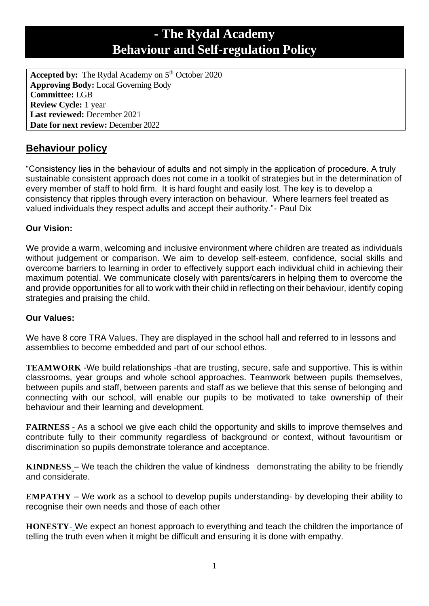# **- The Rydal Academy Behaviour and Self-regulation Policy**

Accepted by: The Rydal Academy on 5<sup>th</sup> October 2020 **Approving Body:** Local Governing Body **Committee:** LGB **Review Cycle:** 1 year **Last reviewed:** December 2021 **Date for next review:** December 2022

# **Behaviour policy**

"Consistency lies in the behaviour of adults and not simply in the application of procedure. A truly sustainable consistent approach does not come in a toolkit of strategies but in the determination of every member of staff to hold firm. It is hard fought and easily lost. The key is to develop a consistency that ripples through every interaction on behaviour. Where learners feel treated as valued individuals they respect adults and accept their authority."- Paul Dix

# **Our Vision:**

We provide a warm, welcoming and inclusive environment where children are treated as individuals without judgement or comparison. We aim to develop self-esteem, confidence, social skills and overcome barriers to learning in order to effectively support each individual child in achieving their maximum potential. We communicate closely with parents/carers in helping them to overcome the and provide opportunities for all to work with their child in reflecting on their behaviour, identify coping strategies and praising the child.

# **Our Values:**

We have 8 core TRA Values. They are displayed in the school hall and referred to in lessons and assemblies to become embedded and part of our school ethos.

**TEAMWORK** -We build relationships -that are trusting, secure, safe and supportive. This is within classrooms, year groups and whole school approaches. Teamwork between pupils themselves, between pupils and staff, between parents and staff as we believe that this sense of belonging and connecting with our school, will enable our pupils to be motivated to take ownership of their behaviour and their learning and development.

**FAIRNESS** - As a school we give each child the opportunity and skills to improve themselves and contribute fully to their community regardless of background or context, without favouritism or discrimination so pupils demonstrate tolerance and acceptance.

**KINDNESS** – We teach the children the value of kindness demonstrating the ability to be friendly and considerate.

**EMPATHY** – We work as a school to develop pupils understanding- by developing their ability to recognise their own needs and those of each other

**HONESTY-** We expect an honest approach to everything and teach the children the importance of telling the truth even when it might be difficult and ensuring it is done with empathy.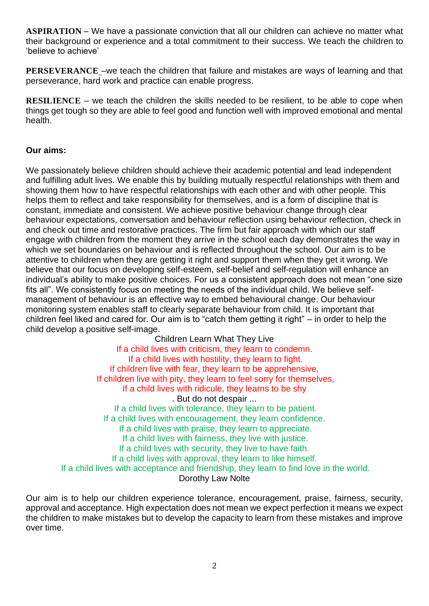**ASPIRATION** – We have a passionate conviction that all our children can achieve no matter what their background or experience and a total commitment to their success. We teach the children to 'believe to achieve'

**PERSEVERANCE** –we teach the children that failure and mistakes are ways of learning and that perseverance, hard work and practice can enable progress.

**RESILIENCE** – we teach the children the skills needed to be resilient, to be able to cope when things get tough so they are able to feel good and function well with improved emotional and mental health.

#### **Our aims:**

We passionately believe children should achieve their academic potential and lead independent and fulfilling adult lives. We enable this by building mutually respectful relationships with them and showing them how to have respectful relationships with each other and with other people. This helps them to reflect and take responsibility for themselves, and is a form of discipline that is constant, immediate and consistent. We achieve positive behaviour change through clear behaviour expectations, conversation and behaviour reflection using behaviour reflection, check in and check out time and restorative practices. The firm but fair approach with which our staff engage with children from the moment they arrive in the school each day demonstrates the way in which we set boundaries on behaviour and is reflected throughout the school. Our aim is to be attentive to children when they are getting it right and support them when they get it wrong. We believe that our focus on developing self-esteem, self-belief and self-regulation will enhance an individual's ability to make positive choices. For us a consistent approach does not mean "one size fits all". We consistently focus on meeting the needs of the individual child. We believe selfmanagement of behaviour is an effective way to embed behavioural change. Our behaviour monitoring system enables staff to clearly separate behaviour from child. It is important that children feel liked and cared for. Our aim is to "catch them getting it right" – in order to help the child develop a positive self-image.

Children Learn What They Live If a child lives with criticism, they learn to condemn. If a child lives with hostility, they learn to fight. If children live with fear, they learn to be apprehensive, If children live with pity, they learn to feel sorry for themselves, If a child lives with ridicule, they learns to be shy . But do not despair ... If a child lives with tolerance, they learn to be patient. If a child lives with encouragement, they learn confidence. If a child lives with praise, they learn to appreciate. If a child lives with fairness, they live with justice. If a child lives with security, they live to have faith. If a child lives with approval, they learn to like himself. If a child lives with acceptance and friendship, they learn to find love in the world. Dorothy Law Nolte

Our aim is to help our children experience tolerance, encouragement, praise, fairness, security, approval and acceptance. High expectation does not mean we expect perfection it means we expect the children to make mistakes but to develop the capacity to learn from these mistakes and improve over time.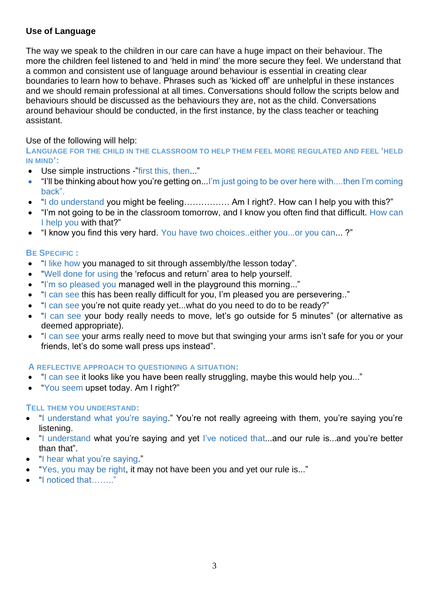# **Use of Language**

The way we speak to the children in our care can have a huge impact on their behaviour. The more the children feel listened to and 'held in mind' the more secure they feel. We understand that a common and consistent use of language around behaviour is essential in creating clear boundaries to learn how to behave. Phrases such as 'kicked off' are unhelpful in these instances and we should remain professional at all times. Conversations should follow the scripts below and behaviours should be discussed as the behaviours they are, not as the child. Conversations around behaviour should be conducted, in the first instance, by the class teacher or teaching assistant.

Use of the following will help:

**LANGUAGE FOR THE CHILD IN THE CLASSROOM TO HELP THEM FEEL MORE REGULATED AND FEEL 'HELD IN MIND':**

- Use simple instructions -"first this, then..."
- "I'll be thinking about how you're getting on...I'm just going to be over here with....then I'm coming back".
- "I do understand you might be feeling……………. Am I right?. How can I help you with this?"
- "I'm not going to be in the classroom tomorrow, and I know you often find that difficult. How can I help you with that?"
- "I know you find this very hard. You have two choices..either you...or you can... ?"

### **BE SPECIFIC :**

- "I like how you managed to sit through assembly/the lesson today".
- "Well done for using the 'refocus and return' area to help yourself.
- "I'm so pleased you managed well in the playground this morning..."
- "I can see this has been really difficult for you, I'm pleased you are persevering.."
- "I can see you're not quite ready yet...what do you need to do to be ready?"
- "I can see your body really needs to move, let's go outside for 5 minutes" (or alternative as deemed appropriate).
- "I can see your arms really need to move but that swinging your arms isn't safe for you or your friends, let's do some wall press ups instead".

#### **A REFLECTIVE APPROACH TO QUESTIONING A SITUATION:**

- "I can see it looks like you have been really struggling, maybe this would help you..."
- "You seem upset today. Am I right?"

#### **TELL THEM YOU UNDERSTAND:**

- "I understand what you're saying." You're not really agreeing with them, you're saying you're listening.
- "I understand what you're saying and yet I've noticed that...and our rule is...and you're better than that".
- "I hear what you're saying."
- "Yes, you may be right, it may not have been you and yet our rule is..."
- "I noticed that…….."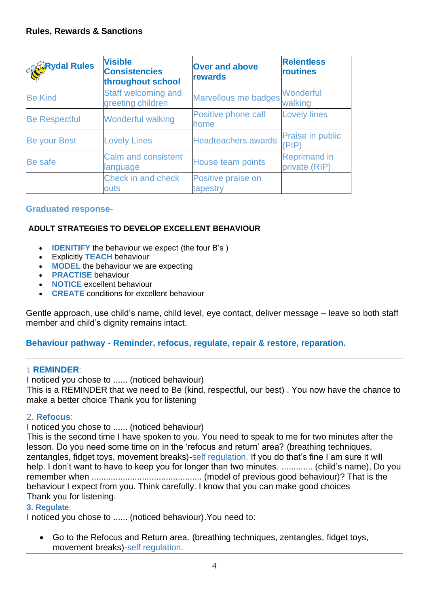| <b>SCRydal Rules</b> | <b>Visible</b><br><b>Consistencies</b><br>throughout school | <b>Over and above</b><br>rewards | <b>Relentless</b><br>routines        |
|----------------------|-------------------------------------------------------------|----------------------------------|--------------------------------------|
| <b>Be Kind</b>       | Staff welcoming and<br>greeting children                    | Marvellous me badges Wonderful   | walking                              |
| <b>Be Respectful</b> | <b>Wonderful walking</b>                                    | Positive phone call<br>home      | <b>Lovely lines</b>                  |
| Be your Best         | <b>Lovely Lines</b>                                         | <b>Headteachers awards</b>       | <b>Praise in public</b><br>'PIP)     |
| Be safe              | <b>Calm and consistent</b><br>language                      | House team points                | <b>Reprimand in</b><br>private (RIP) |
|                      | Check in and check<br>outs                                  | Positive praise on<br>tapestry   |                                      |

#### **Graduated response-**

# **ADULT STRATEGIES TO DEVELOP EXCELLENT BEHAVIOUR**

- **IDENITIFY** the behaviour we expect (the four B's )
- Explicitly **TEACH** behaviour
- **MODEL** the behaviour we are expecting
- **PRACTISE** behaviour
- **NOTICE** excellent behaviour
- **CREATE** conditions for excellent behaviour

Gentle approach, use child's name, child level, eye contact, deliver message – leave so both staff member and child's dignity remains intact.

#### **Behaviour pathway - Reminder, refocus, regulate, repair & restore, reparation.**

#### 1 **REMINDER**:

I noticed you chose to ...... (noticed behaviour) This is a REMINDER that we need to Be (kind, respectful, our best) . You now have the chance to make a better choice Thank you for listening

#### 2. **Refocus**:

I noticed you chose to ...... (noticed behaviour)

This is the second time I have spoken to you. You need to speak to me for two minutes after the lesson. Do you need some time on in the 'refocus and return' area? (breathing techniques, zentangles, fidget toys, movement breaks)-self regulation. If you do that's fine I am sure it will help. I don't want to have to keep you for longer than two minutes. ............. (child's name), Do you remember when .............................................. (model of previous good behaviour)? That is the behaviour I expect from you. Think carefully. I know that you can make good choices Thank you for listening.

#### **3. Regulate**:

I noticed you chose to ...... (noticed behaviour).You need to:

• Go to the Refocus and Return area. (breathing techniques, zentangles, fidget toys, movement breaks)-self regulation.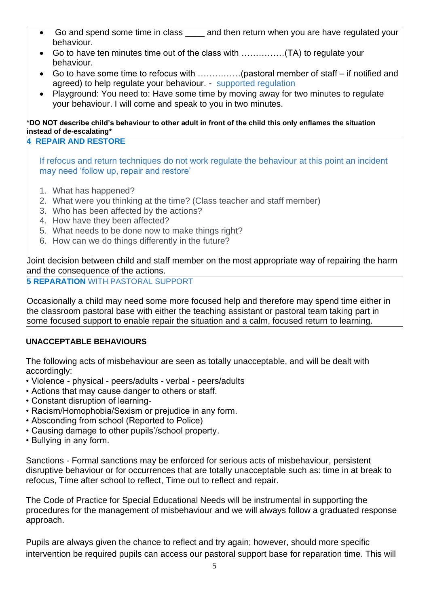- Go and spend some time in class and then return when you are have regulated your behaviour.
- Go to have ten minutes time out of the class with ……………(TA) to regulate your behaviour.
- Go to have some time to refocus with ……………(pastoral member of staff if notified and agreed) to help regulate your behaviour. - supported regulation
- Playground: You need to: Have some time by moving away for two minutes to regulate your behaviour. I will come and speak to you in two minutes.

**\*DO NOT describe child's behaviour to other adult in front of the child this only enflames the situation instead of de-escalating\* 4 REPAIR AND RESTORE** 

If refocus and return techniques do not work regulate the behaviour at this point an incident may need 'follow up, repair and restore'

- 1. What has happened?
- 2. What were you thinking at the time? (Class teacher and staff member)
- 3. Who has been affected by the actions?
- 4. How have they been affected?
- 5. What needs to be done now to make things right?
- 6. How can we do things differently in the future?

Joint decision between child and staff member on the most appropriate way of repairing the harm and the consequence of the actions.

**5 REPARATION** WITH PASTORAL SUPPORT

Occasionally a child may need some more focused help and therefore may spend time either in the classroom pastoral base with either the teaching assistant or pastoral team taking part in some focused support to enable repair the situation and a calm, focused return to learning.

#### **UNACCEPTABLE BEHAVIOURS**

The following acts of misbehaviour are seen as totally unacceptable, and will be dealt with accordingly:

- Violence physical peers/adults verbal peers/adults
- Actions that may cause danger to others or staff.
- Constant disruption of learning-
- Racism/Homophobia/Sexism or prejudice in any form.
- Absconding from school (Reported to Police)
- Causing damage to other pupils'/school property.
- Bullying in any form.

Sanctions - Formal sanctions may be enforced for serious acts of misbehaviour, persistent disruptive behaviour or for occurrences that are totally unacceptable such as: time in at break to refocus, Time after school to reflect, Time out to reflect and repair.

The Code of Practice for Special Educational Needs will be instrumental in supporting the procedures for the management of misbehaviour and we will always follow a graduated response approach.

Pupils are always given the chance to reflect and try again; however, should more specific intervention be required pupils can access our pastoral support base for reparation time. This will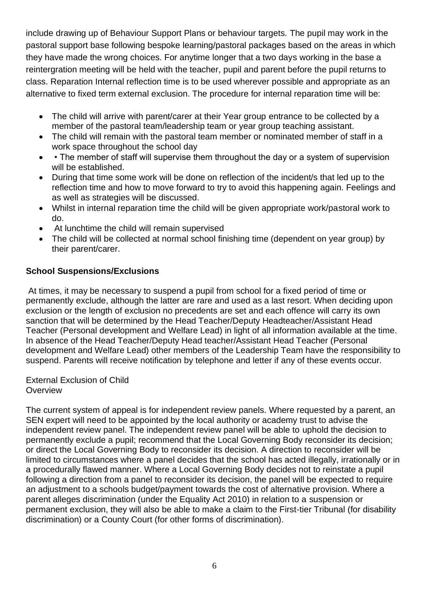include drawing up of Behaviour Support Plans or behaviour targets. The pupil may work in the pastoral support base following bespoke learning/pastoral packages based on the areas in which they have made the wrong choices. For anytime longer that a two days working in the base a reintergration meeting will be held with the teacher, pupil and parent before the pupil returns to class. Reparation Internal reflection time is to be used wherever possible and appropriate as an alternative to fixed term external exclusion. The procedure for internal reparation time will be:

- The child will arrive with parent/carer at their Year group entrance to be collected by a member of the pastoral team/leadership team or year group teaching assistant.
- The child will remain with the pastoral team member or nominated member of staff in a work space throughout the school day
- • The member of staff will supervise them throughout the day or a system of supervision will be established.
- During that time some work will be done on reflection of the incident/s that led up to the reflection time and how to move forward to try to avoid this happening again. Feelings and as well as strategies will be discussed.
- Whilst in internal reparation time the child will be given appropriate work/pastoral work to do.
- At lunchtime the child will remain supervised
- The child will be collected at normal school finishing time (dependent on year group) by their parent/carer.

# **School Suspensions/Exclusions**

At times, it may be necessary to suspend a pupil from school for a fixed period of time or permanently exclude, although the latter are rare and used as a last resort. When deciding upon exclusion or the length of exclusion no precedents are set and each offence will carry its own sanction that will be determined by the Head Teacher/Deputy Headteacher/Assistant Head Teacher (Personal development and Welfare Lead) in light of all information available at the time. In absence of the Head Teacher/Deputy Head teacher/Assistant Head Teacher (Personal development and Welfare Lead) other members of the Leadership Team have the responsibility to suspend. Parents will receive notification by telephone and letter if any of these events occur.

External Exclusion of Child **Overview** 

The current system of appeal is for independent review panels. Where requested by a parent, an SEN expert will need to be appointed by the local authority or academy trust to advise the independent review panel. The independent review panel will be able to uphold the decision to permanently exclude a pupil; recommend that the Local Governing Body reconsider its decision; or direct the Local Governing Body to reconsider its decision. A direction to reconsider will be limited to circumstances where a panel decides that the school has acted illegally, irrationally or in a procedurally flawed manner. Where a Local Governing Body decides not to reinstate a pupil following a direction from a panel to reconsider its decision, the panel will be expected to require an adjustment to a schools budget/payment towards the cost of alternative provision. Where a parent alleges discrimination (under the Equality Act 2010) in relation to a suspension or permanent exclusion, they will also be able to make a claim to the First-tier Tribunal (for disability discrimination) or a County Court (for other forms of discrimination).